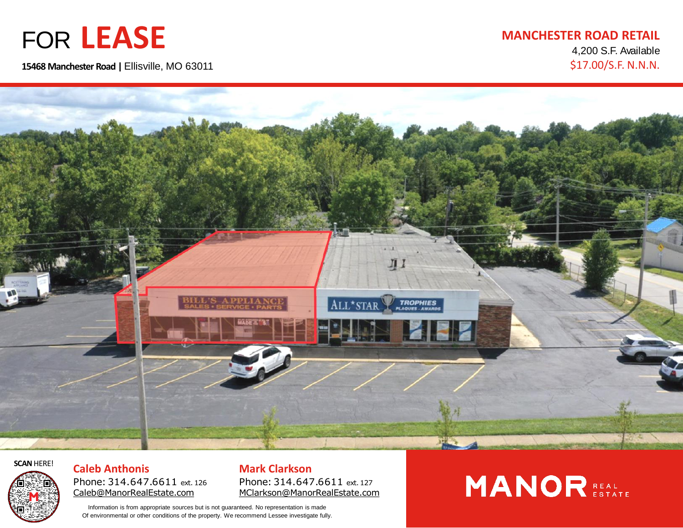## FOR **LEASE**

**15468 Manchester Road |** Ellisville, MO 63011

#### **MANCHESTER ROAD RETAIL** 4,200 S.F. Available

\$17.00/S.F. N.N.N.





**Caleb Anthonis** Phone: 314.647.6611 ext. 126 [Caleb@ManorRealEstate.com](mailto:Caleb@ManorRealEstate.com) **SCAN HERE! Caleb Anthonis Mark Clarkson** 

Phone: 314.647.6611 ext. 127 [MClarkson@ManorRealEstate.com](mailto:MClarkson@ManorRealEstate.com)

Information is from appropriate sources but is not guaranteed. No representation is made Of environmental or other conditions of the property. We recommend Lessee investigate fully.

# **MANOR REAL**